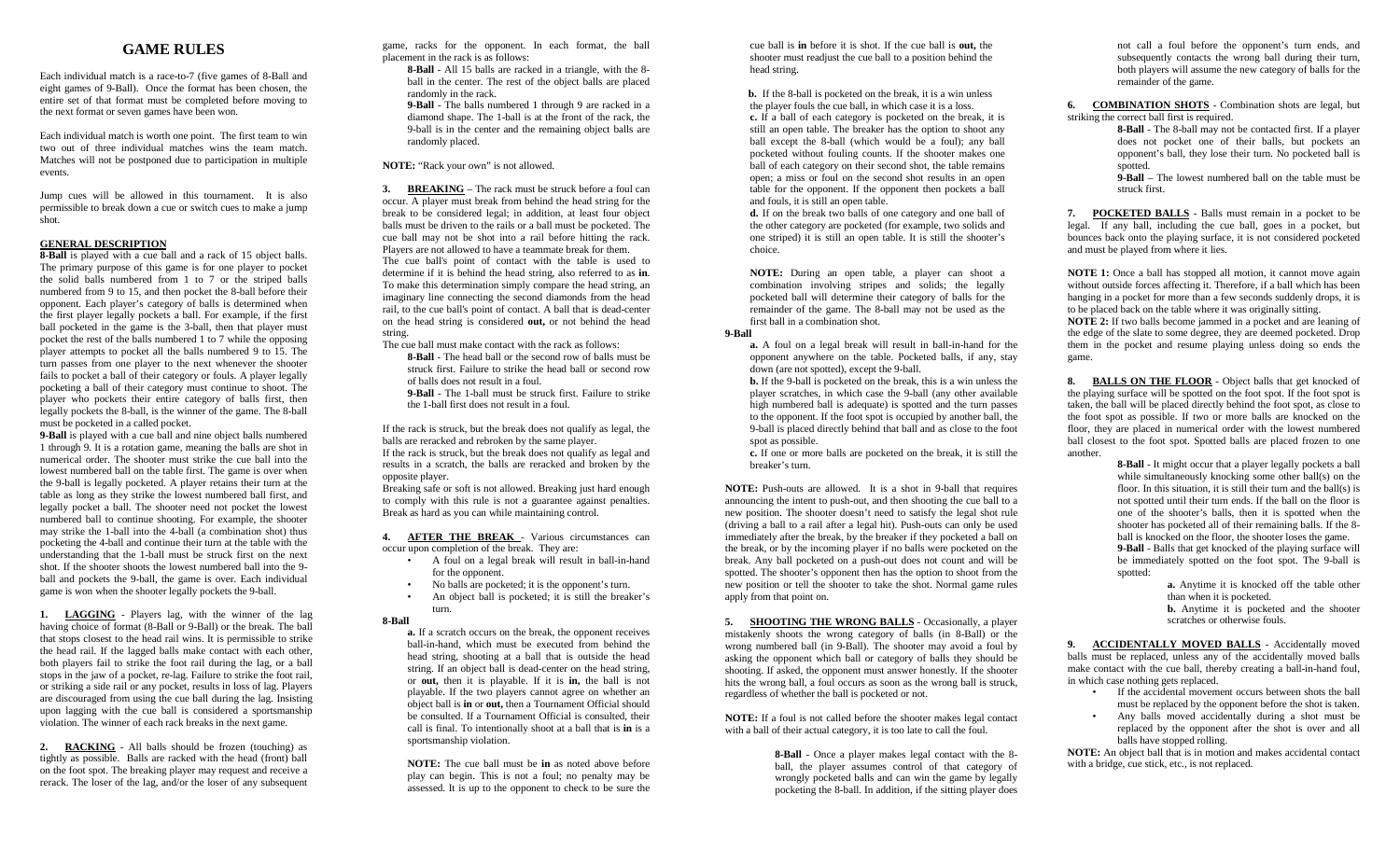## **GAME RULES**

Each individual match is a race-to-7 (five games of 8-Ball and eight games of 9-Ball).Once the format has been chosen, the entire set of that format must be completed before moving to the next format or seven games have been won.

Each individual match is worth one point. The first team to win two out of three individual matches wins the team match. Matches will not be postponed due to participation in multiple events.

Jump cues will be allowed in this tournament. It is also permissible to break down a cue or switch cues to make a jump shot.

#### **GENERAL DESCRIPTION**

**8-Ball** is played with a cue ball and a rack of 15 object balls. The primary purpose of this game is for one player to pocket the solid balls numbered from 1 to 7 or the striped balls numbered from 9 to 15, and then pocket the 8-ball before their opponent. Each player's category of balls is determined when the first player legally pockets a ball. For example, if the first ball pocketed in the game is the 3-ball, then that player must pocket the rest of the balls numbered 1 to 7 while the opposing player attempts to pocket all the balls numbered 9 to 15. The turn passes from one player to the next whenever the shooter fails to pocket a ball of their category or fouls. A player legally pocketing a ball of their category must continue to shoot. The player who pockets their entire category of balls first, then legally pockets the 8-ball, is the winner of the game. The 8-ball must be pocketed in a called pocket.

**9-Ball** is played with a cue ball and nine object balls numbered 1 through 9. It is a rotation game, meaning the balls are shot in numerical order. The shooter must strike the cue ball into the lowest numbered ball on the table first. The game is over when the 9-ball is legally pocketed. A player retains their turn at the table as long as they strike the lowest numbered ball first, and legally pocket a ball. The shooter need not pocket the lowest numbered ball to continue shooting. For example, the shooter may strike the 1-ball into the 4-ball (a combination shot) thus pocketing the 4-ball and continue their turn at the table with the understanding that the 1-ball must be struck first on the next shot. If the shooter shoots the lowest numbered ball into the 9 ball and pockets the 9-ball, the game is over. Each individual game is won when the shooter legally pockets the 9-ball.

**1. LAGGING** - Players lag, with the winner of the lag having choice of format (8-Ball or 9-Ball) or the break. The ball that stops closest to the head rail wins. It is permissible to strike the head rail. If the lagged balls make contact with each other, both players fail to strike the foot rail during the lag, or a ball stops in the jaw of a pocket, re-lag. Failure to strike the foot rail, or striking a side rail or any pocket, results in loss of lag. Players are discouraged from using the cue ball during the lag. Insisting upon lagging with the cue ball is considered a sportsmanship violation. The winner of each rack breaks in the next game.

**2. RACKING** - All balls should be frozen (touching) as tightly as possible. Balls are racked with the head (front) ball on the foot spot. The breaking player may request and receive a rerack. The loser of the lag, and/or the loser of any subsequent game, racks for the opponent. In each format, the ball placement in the rack is as follows:

**8-Ball** - All 15 balls are racked in a triangle, with the 8 ball in the center. The rest of the object balls are placed randomly in the rack.

**9-Ball** - The balls numbered 1 through 9 are racked in a diamond shape. The 1-ball is at the front of the rack, the 9-ball is in the center and the remaining object balls are randomly placed.

**NOTE:** "Rack your own" is not allowed.

**3. BREAKING** – The rack must be struck before a foul can occur. A player must break from behind the head string for the break to be considered legal; in addition, at least four object balls must be driven to the rails or a ball must be pocketed. The cue ball may not be shot into a rail before hitting the rack. Players are not allowed to have a teammate break for them. The cue ball's point of contact with the table is used to determine if it is behind the head string, also referred to as **in**. To make this determination simply compare the head string, an imaginary line connecting the second diamonds from the head rail, to the cue ball's point of contact. A ball that is dead-center on the head string is considered **out,** or not behind the head string.

The cue ball must make contact with the rack as follows:

**8-Ball** - The head ball or the second row of balls must be struck first. Failure to strike the head ball or second row of balls does not result in a foul.

**9-Ball** - The 1-ball must be struck first. Failure to strike the 1-ball first does not result in a foul.

If the rack is struck, but the break does not qualify as legal, the balls are reracked and rebroken by the same player. If the rack is struck, but the break does not qualify as legal and results in a scratch, the balls are reracked and broken by the opposite player.

Breaking safe or soft is not allowed. Breaking just hard enough to comply with this rule is not a guarantee against penalties. Break as hard as you can while maintaining control.

**4. AFTER THE BREAK** - Various circumstances can occur upon completion of the break. They are:

- A foul on a legal break will result in ball-in-hand for the opponent.
- No balls are pocketed; it is the opponent's turn. An object ball is pocketed; it is still the breaker's
- turn.

### **8-Ball**

**a.** If a scratch occurs on the break, the opponent receives ball-in-hand, which must be executed from behind the head string, shooting at a ball that is outside the head string. If an object ball is dead-center on the head string, or **out,** then it is playable. If it is **in,** the ball is not playable. If the two players cannot agree on whether an object ball is **in** or **out,** then a Tournament Official should be consulted. If a Tournament Official is consulted, their call is final. To intentionally shoot at a ball that is **in** is a sportsmanship violation.

**NOTE:** The cue ball must be **in** as noted above before play can begin. This is not a foul; no penalty may be assessed. It is up to the opponent to check to be sure the

cue ball is **in** before it is shot. If the cue ball is **out,** the shooter must readjust the cue ball to a position behind the head string.

 **b.** If the 8-ball is pocketed on the break, it is a win unless the player fouls the cue ball, in which case it is a loss. **c.** If a ball of each category is pocketed on the break, it is still an open table. The breaker has the option to shoot any ball except the 8-ball (which would be a foul); any ball pocketed without fouling counts. If the shooter makes one ball of each category on their second shot, the table remains open; a miss or foul on the second shot results in an open table for the opponent. If the opponent then pockets a ball and fouls, it is still an open table.

**d.** If on the break two balls of one category and one ball of the other category are pocketed (for example, two solids and one striped) it is still an open table. It is still the shooter's choice.

**NOTE:** During an open table, a player can shoot a combination involving stripes and solids; the legally pocketed ball will determine their category of balls for the remainder of the game. The 8-ball may not be used as the first ball in a combination shot.

## **9-Ball**

**a.** A foul on a legal break will result in ball-in-hand for the opponent anywhere on the table. Pocketed balls, if any, stay down (are not spotted), except the 9-ball.

**b.** If the 9-ball is pocketed on the break, this is a win unless the player scratches, in which case the 9-ball (any other available high numbered ball is adequate) is spotted and the turn passes to the opponent. If the foot spot is occupied by another ball, the 9-ball is placed directly behind that ball and as close to the foot spot as possible.

**c.** If one or more balls are pocketed on the break, it is still the breaker's turn.

**NOTE:** Push-outs are allowed. It is a shot in 9-ball that requires announcing the intent to push-out, and then shooting the cue ball to a new position. The shooter doesn't need to satisfy the legal shot rule (driving a ball to a rail after a legal hit). Push-outs can only be used immediately after the break, by the breaker if they pocketed a ball on the break, or by the incoming player if no balls were pocketed on the break. Any ball pocketed on a push-out does not count and will be spotted. The shooter's opponent then has the option to shoot from the new position or tell the shooter to take the shot. Normal game rules apply from that point on.

**5. SHOOTING THE WRONG BALLS** - Occasionally, a player mistakenly shoots the wrong category of balls (in 8-Ball) or the wrong numbered ball (in 9-Ball). The shooter may avoid a foul by asking the opponent which ball or category of balls they should be shooting. If asked, the opponent must answer honestly. If the shooter hits the wrong ball, a foul occurs as soon as the wrong ball is struck, regardless of whether the ball is pocketed or not.

**NOTE:** If a foul is not called before the shooter makes legal contact with a ball of their actual category, it is too late to call the foul.

> **8-Ball** - Once a player makes legal contact with the 8 ball, the player assumes control of that category of wrongly pocketed balls and can win the game by legally pocketing the 8-ball. In addition, if the sitting player does

not call a foul before the opponent's turn ends, and subsequently contacts the wrong ball during their turn. both players will assume the new category of balls for the remainder of the game.

**6. COMBINATION SHOTS** - Combination shots are legal, but striking the correct ball first is required.

**8-Ball** - The 8-ball may not be contacted first. If a player does not pocket one of their balls, but pockets an opponent's ball, they lose their turn. No pocketed ball is spotted.

**9-Ball** – The lowest numbered ball on the table must be struck first.

**7. POCKETED BALLS** - Balls must remain in a pocket to be legal. If any ball, including the cue ball, goes in a pocket, but bounces back onto the playing surface, it is not considered pocketed and must be played from where it lies.

**NOTE 1:** Once a ball has stopped all motion, it cannot move again without outside forces affecting it. Therefore, if a ball which has been hanging in a pocket for more than a few seconds suddenly drops, it is to be placed back on the table where it was originally sitting. **NOTE 2:** If two balls become jammed in a pocket and are leaning of the edge of the slate to some degree, they are deemed pocketed. Drop them in the pocket and resume playing unless doing so ends the game.

**8. BALLS ON THE FLOOR** - Object balls that get knocked of the playing surface will be spotted on the foot spot. If the foot spot is taken, the ball will be placed directly behind the foot spot, as close to the foot spot as possible. If two or more balls are knocked on the floor, they are placed in numerical order with the lowest numbered ball closest to the foot spot. Spotted balls are placed frozen to one another.

**8-Ball** - It might occur that a player legally pockets a ball while simultaneously knocking some other ball(s) on the floor. In this situation, it is still their turn and the ball(s) is not spotted until their turn ends. If the ball on the floor is one of the shooter's balls, then it is spotted when the shooter has pocketed all of their remaining balls. If the 8 ball is knocked on the floor, the shooter loses the game. **9-Ball** - Balls that get knocked of the playing surface will be immediately spotted on the foot spot. The 9-ball is spotted:

**a.** Anytime it is knocked off the table other than when it is pocketed.

**b.** Anytime it is pocketed and the shooter scratches or otherwise fouls.

**9. ACCIDENTALLY MOVED BALLS** - Accidentally moved balls must be replaced, unless any of the accidentally moved balls make contact with the cue ball, thereby creating a ball-in-hand foul, in which case nothing gets replaced.

- If the accidental movement occurs between shots the ball must be replaced by the opponent before the shot is taken.
- Any balls moved accidentally during a shot must be replaced by the opponent after the shot is over and all balls have stopped rolling.

**NOTE:** An object ball that is in motion and makes accidental contact with a bridge, cue stick, etc., is not replaced.